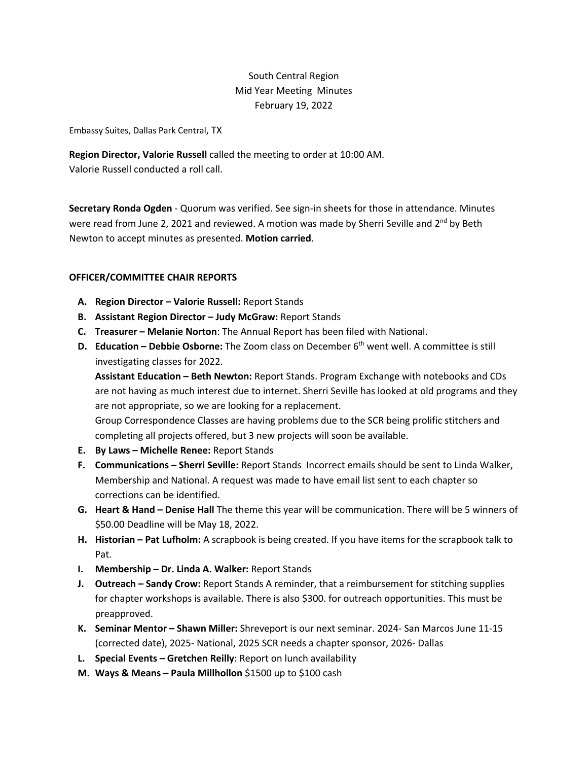# South Central Region Mid Year Meeting Minutes February 19, 2022

Embassy Suites, Dallas Park Central, TX

**Region Director, Valorie Russell** called the meeting to order at 10:00 AM. Valorie Russell conducted a roll call.

**Secretary Ronda Ogden** - Quorum was verified. See sign-in sheets for those in attendance. Minutes were read from June 2, 2021 and reviewed. A motion was made by Sherri Seville and 2<sup>nd</sup> by Beth Newton to accept minutes as presented. **Motion carried**.

## **OFFICER/COMMITTEE CHAIR REPORTS**

- **A. Region Director – Valorie Russell:** Report Stands
- **B. Assistant Region Director – Judy McGraw:** Report Stands
- **C. Treasurer – Melanie Norton**: The Annual Report has been filed with National.
- **D. Education – Debbie Osborne:** The Zoom class on December 6th went well. A committee is still investigating classes for 2022.

**Assistant Education – Beth Newton:** Report Stands. Program Exchange with notebooks and CDs are not having as much interest due to internet. Sherri Seville has looked at old programs and they are not appropriate, so we are looking for a replacement.

Group Correspondence Classes are having problems due to the SCR being prolific stitchers and completing all projects offered, but 3 new projects will soon be available.

- **E. By Laws – Michelle Renee:** Report Stands
- **F. Communications – Sherri Seville:** Report Stands Incorrect emails should be sent to Linda Walker, Membership and National. A request was made to have email list sent to each chapter so corrections can be identified.
- **G. Heart & Hand – Denise Hall** The theme this year will be communication. There will be 5 winners of \$50.00 Deadline will be May 18, 2022.
- **H. Historian – Pat Lufholm:** A scrapbook is being created. If you have items for the scrapbook talk to Pat.
- **I. Membership – Dr. Linda A. Walker:** Report Stands
- **J. Outreach – Sandy Crow:** Report Stands A reminder, that a reimbursement for stitching supplies for chapter workshops is available. There is also \$300. for outreach opportunities. This must be preapproved.
- **K. Seminar Mentor – Shawn Miller:** Shreveport is our next seminar. 2024- San Marcos June 11-15 (corrected date), 2025- National, 2025 SCR needs a chapter sponsor, 2026- Dallas
- **L. Special Events – Gretchen Reilly**: Report on lunch availability
- **M. Ways & Means – Paula Millhollon** \$1500 up to \$100 cash